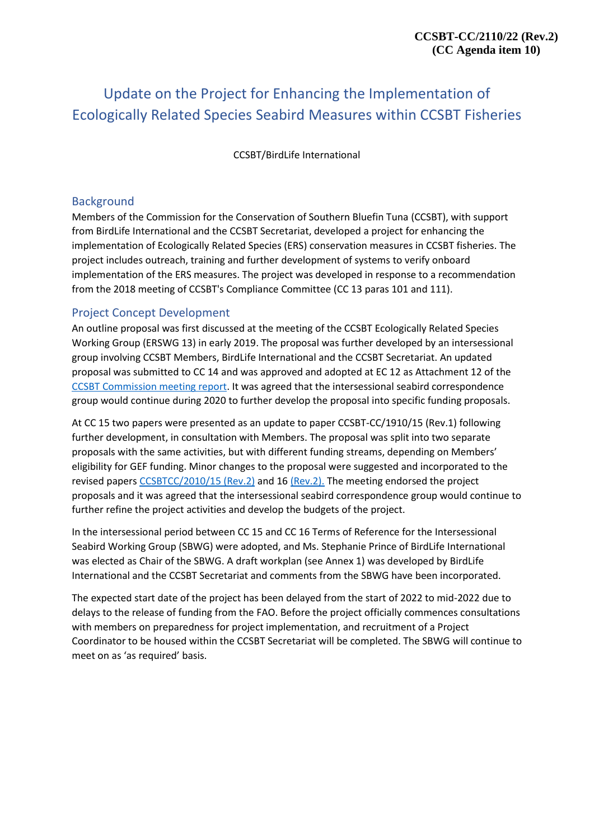## Update on the Project for Enhancing the Implementation of Ecologically Related Species Seabird Measures within CCSBT Fisheries

CCSBT/BirdLife International

#### Background

Members of the Commission for the Conservation of Southern Bluefin Tuna (CCSBT), with support from BirdLife International and the CCSBT Secretariat, developed a project for enhancing the implementation of Ecologically Related Species (ERS) conservation measures in CCSBT fisheries. The project includes outreach, training and further development of systems to verify onboard implementation of the ERS measures. The project was developed in response to a recommendation from the 2018 meeting of CCSBT's Compliance Committee (CC 13 paras 101 and 111).

#### Project Concept Development

An outline proposal was first discussed at the meeting of the CCSBT Ecologically Related Species Working Group (ERSWG 13) in early 2019. The proposal was further developed by an intersessional group involving CCSBT Members, BirdLife International and the CCSBT Secretariat. An updated proposal was submitted to CC 14 and was approved and adopted at EC 12 as Attachment 12 of the [CCSBT Commission meeting report.](https://www.ccsbt.org/sites/default/files/userfiles/file/docs_english/meetings/meeting_reports/ccsbt_26/report_of_CC14.pdf) It was agreed that the intersessional seabird correspondence group would continue during 2020 to further develop the proposal into specific funding proposals.

At CC 15 two papers were presented as an update to paper CCSBT-CC/1910/15 (Rev.1) following further development, in consultation with Members. The proposal was split into two separate proposals with the same activities, but with different funding streams, depending on Members' eligibility for GEF funding. Minor changes to the proposal were suggested and incorporated to the revised papers [CCSBTCC/2010/15 \(Rev.2\)](https://www.ccsbt.org/en/system/files/CC15_15_BirdLife_Seabird_Proposal_GEFfunding_Rev2.pdf) and 16 [\(Rev.2\).](https://www.ccsbt.org/en/system/files/CC15_16_BirdLife_Seabird_Proposal_non-GEF_funding_Rev2.pdf) The meeting endorsed the project proposals and it was agreed that the intersessional seabird correspondence group would continue to further refine the project activities and develop the budgets of the project.

In the intersessional period between CC 15 and CC 16 Terms of Reference for the Intersessional Seabird Working Group (SBWG) were adopted, and Ms. Stephanie Prince of BirdLife International was elected as Chair of the SBWG. A draft workplan (see Annex 1) was developed by BirdLife International and the CCSBT Secretariat and comments from the SBWG have been incorporated.

The expected start date of the project has been delayed from the start of 2022 to mid-2022 due to delays to the release of funding from the FAO. Before the project officially commences consultations with members on preparedness for project implementation, and recruitment of a Project Coordinator to be housed within the CCSBT Secretariat will be completed. The SBWG will continue to meet on as 'as required' basis.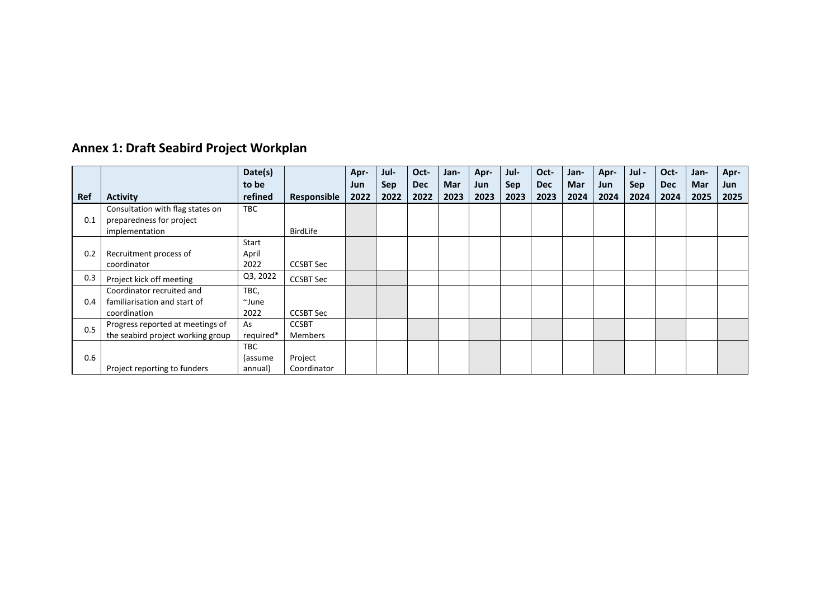| <b>Annex 1: Draft Seabird Project Workplan</b> |
|------------------------------------------------|
|                                                |

|     |                                                                                | Date(s)                   |                                | Apr-        | Jul-               | Oct-               | Jan-        | Apr-        | Jul-               | Oct-               | Jan-        | Apr-        | Jul -       | Oct-               | Jan-        | Apr-         |
|-----|--------------------------------------------------------------------------------|---------------------------|--------------------------------|-------------|--------------------|--------------------|-------------|-------------|--------------------|--------------------|-------------|-------------|-------------|--------------------|-------------|--------------|
| Ref | <b>Activity</b>                                                                | to be<br>refined          | Responsible                    | Jun<br>2022 | <b>Sep</b><br>2022 | <b>Dec</b><br>2022 | Mar<br>2023 | Jun<br>2023 | <b>Sep</b><br>2023 | <b>Dec</b><br>2023 | Mar<br>2024 | Jun<br>2024 | Sep<br>2024 | <b>Dec</b><br>2024 | Mar<br>2025 | Jun.<br>2025 |
| 0.1 | Consultation with flag states on<br>preparedness for project<br>implementation | TBC                       | BirdLife                       |             |                    |                    |             |             |                    |                    |             |             |             |                    |             |              |
| 0.2 | Recruitment process of<br>coordinator                                          | Start<br>April<br>2022    | <b>CCSBT Sec</b>               |             |                    |                    |             |             |                    |                    |             |             |             |                    |             |              |
| 0.3 | Project kick off meeting                                                       | Q3, 2022                  | <b>CCSBT Sec</b>               |             |                    |                    |             |             |                    |                    |             |             |             |                    |             |              |
| 0.4 | Coordinator recruited and<br>familiarisation and start of<br>coordination      | TBC,<br>~June<br>2022     | <b>CCSBT Sec</b>               |             |                    |                    |             |             |                    |                    |             |             |             |                    |             |              |
| 0.5 | Progress reported at meetings of<br>the seabird project working group          | As<br>required*           | <b>CCSBT</b><br><b>Members</b> |             |                    |                    |             |             |                    |                    |             |             |             |                    |             |              |
| 0.6 | Project reporting to funders                                                   | TBC<br>(assume<br>annual) | Project<br>Coordinator         |             |                    |                    |             |             |                    |                    |             |             |             |                    |             |              |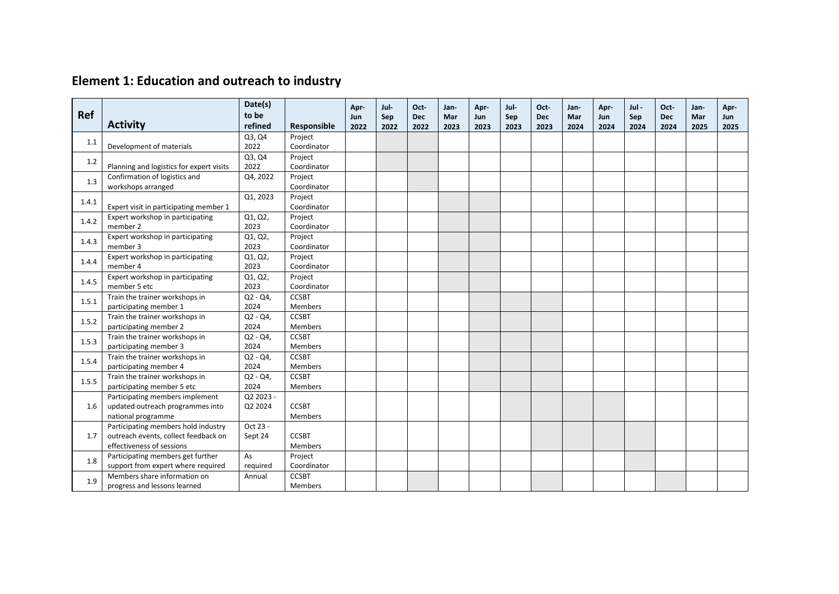| Ref   |                                                                                                          | Date(s)<br>to be     |                                | Apr-<br><b>Jun</b> | Jul-<br>Sep | Oct-<br><b>Dec</b> | Jan-<br>Mar | Apr-<br>Jun | Jul-<br>Sep | Oct-<br><b>Dec</b> | Jan-<br>Mar | Apr-<br>Jun | Jul -<br>Sep | Oct-<br><b>Dec</b> | Jan-<br>Mar | Apr-<br>Jun |
|-------|----------------------------------------------------------------------------------------------------------|----------------------|--------------------------------|--------------------|-------------|--------------------|-------------|-------------|-------------|--------------------|-------------|-------------|--------------|--------------------|-------------|-------------|
|       | <b>Activity</b>                                                                                          | refined              | Responsible                    | 2022               | 2022        | 2022               | 2023        | 2023        | 2023        | 2023               | 2024        | 2024        | 2024         | 2024               | 2025        | 2025        |
| 1.1   | Development of materials                                                                                 | Q3, Q4<br>2022       | Proiect<br>Coordinator         |                    |             |                    |             |             |             |                    |             |             |              |                    |             |             |
| 1.2   | Planning and logistics for expert visits                                                                 | Q3, Q4<br>2022       | Project<br>Coordinator         |                    |             |                    |             |             |             |                    |             |             |              |                    |             |             |
| 1.3   | Confirmation of logistics and<br>workshops arranged                                                      | Q4, 2022             | Project<br>Coordinator         |                    |             |                    |             |             |             |                    |             |             |              |                    |             |             |
| 1.4.1 | Expert visit in participating member 1                                                                   | Q1, 2023             | Project<br>Coordinator         |                    |             |                    |             |             |             |                    |             |             |              |                    |             |             |
| 1.4.2 | Expert workshop in participating<br>member 2                                                             | Q1, Q2,<br>2023      | Project<br>Coordinator         |                    |             |                    |             |             |             |                    |             |             |              |                    |             |             |
| 1.4.3 | Expert workshop in participating<br>member 3                                                             | Q1, Q2,<br>2023      | Project<br>Coordinator         |                    |             |                    |             |             |             |                    |             |             |              |                    |             |             |
| 1.4.4 | Expert workshop in participating<br>member 4                                                             | Q1, Q2,<br>2023      | Project<br>Coordinator         |                    |             |                    |             |             |             |                    |             |             |              |                    |             |             |
| 1.4.5 | Expert workshop in participating<br>member 5 etc                                                         | Q1, Q2,<br>2023      | Project<br>Coordinator         |                    |             |                    |             |             |             |                    |             |             |              |                    |             |             |
| 1.5.1 | Train the trainer workshops in<br>participating member 1                                                 | $Q2 - Q4$ ,<br>2024  | <b>CCSBT</b><br><b>Members</b> |                    |             |                    |             |             |             |                    |             |             |              |                    |             |             |
| 1.5.2 | Train the trainer workshops in<br>participating member 2                                                 | $Q2 - Q4$ ,<br>2024  | <b>CCSBT</b><br><b>Members</b> |                    |             |                    |             |             |             |                    |             |             |              |                    |             |             |
| 1.5.3 | Train the trainer workshops in<br>participating member 3                                                 | $Q2 - Q4$ ,<br>2024  | <b>CCSBT</b><br><b>Members</b> |                    |             |                    |             |             |             |                    |             |             |              |                    |             |             |
| 1.5.4 | Train the trainer workshops in<br>participating member 4                                                 | $Q2 - Q4$ ,<br>2024  | <b>CCSBT</b><br><b>Members</b> |                    |             |                    |             |             |             |                    |             |             |              |                    |             |             |
| 1.5.5 | Train the trainer workshops in<br>participating member 5 etc                                             | $Q2 - Q4$<br>2024    | <b>CCSBT</b><br><b>Members</b> |                    |             |                    |             |             |             |                    |             |             |              |                    |             |             |
| 1.6   | Participating members implement<br>updated outreach programmes into<br>national programme                | Q2 2023 -<br>Q2 2024 | <b>CCSBT</b><br><b>Members</b> |                    |             |                    |             |             |             |                    |             |             |              |                    |             |             |
| 1.7   | Participating members hold industry<br>outreach events, collect feedback on<br>effectiveness of sessions | Oct 23 -<br>Sept 24  | <b>CCSBT</b><br><b>Members</b> |                    |             |                    |             |             |             |                    |             |             |              |                    |             |             |
| 1.8   | Participating members get further<br>support from expert where required                                  | As<br>required       | Project<br>Coordinator         |                    |             |                    |             |             |             |                    |             |             |              |                    |             |             |
| 1.9   | Members share information on<br>progress and lessons learned                                             | Annual               | <b>CCSBT</b><br><b>Members</b> |                    |             |                    |             |             |             |                    |             |             |              |                    |             |             |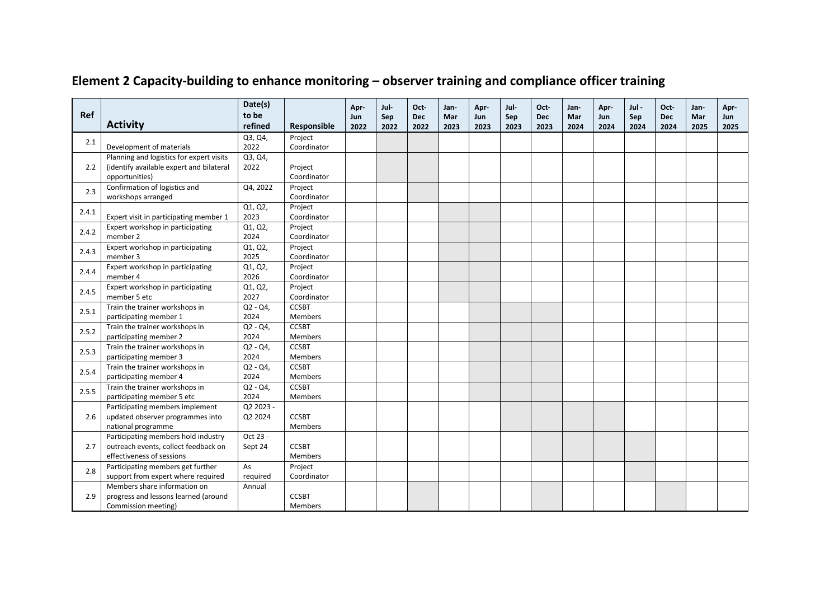|       |                                                                     | Date(s)              |                        | Apr- | Jul- | Oct-       | Jan- | Apr- | Jul- | Oct-       | Jan- | Apr- | Jul - | Oct-       | Jan- | Apr- |
|-------|---------------------------------------------------------------------|----------------------|------------------------|------|------|------------|------|------|------|------------|------|------|-------|------------|------|------|
| Ref   | <b>Activity</b>                                                     | to be                |                        | Jun  | Sep  | <b>Dec</b> | Mar  | Jun  | Sep  | <b>Dec</b> | Mar  | Jun  | Sep   | <b>Dec</b> | Mar  | Jun  |
|       |                                                                     | refined<br>Q3, Q4,   | Responsible<br>Project | 2022 | 2022 | 2022       | 2023 | 2023 | 2023 | 2023       | 2024 | 2024 | 2024  | 2024       | 2025 | 2025 |
| 2.1   | Development of materials                                            | 2022                 | Coordinator            |      |      |            |      |      |      |            |      |      |       |            |      |      |
|       | Planning and logistics for expert visits                            | Q3, Q4,              |                        |      |      |            |      |      |      |            |      |      |       |            |      |      |
| 2.2   | (identify available expert and bilateral                            | 2022                 | Project                |      |      |            |      |      |      |            |      |      |       |            |      |      |
|       | opportunities)                                                      |                      | Coordinator            |      |      |            |      |      |      |            |      |      |       |            |      |      |
| 2.3   | Confirmation of logistics and                                       | Q4, 2022             | Project                |      |      |            |      |      |      |            |      |      |       |            |      |      |
|       | workshops arranged                                                  |                      | Coordinator            |      |      |            |      |      |      |            |      |      |       |            |      |      |
| 2.4.1 |                                                                     | Q1, Q2,              | Project                |      |      |            |      |      |      |            |      |      |       |            |      |      |
|       | Expert visit in participating member 1                              | 2023                 | Coordinator            |      |      |            |      |      |      |            |      |      |       |            |      |      |
| 2.4.2 | Expert workshop in participating                                    | Q1, Q2,              | Project                |      |      |            |      |      |      |            |      |      |       |            |      |      |
|       | member 2                                                            | 2024                 | Coordinator            |      |      |            |      |      |      |            |      |      |       |            |      |      |
| 2.4.3 | Expert workshop in participating                                    | Q1, Q2,<br>2025      | Project                |      |      |            |      |      |      |            |      |      |       |            |      |      |
|       | member 3<br>Expert workshop in participating                        | Q1, Q2,              | Coordinator<br>Project |      |      |            |      |      |      |            |      |      |       |            |      |      |
| 2.4.4 | member 4                                                            | 2026                 | Coordinator            |      |      |            |      |      |      |            |      |      |       |            |      |      |
| 2.4.5 | Expert workshop in participating                                    | Q1, Q2,              | Project                |      |      |            |      |      |      |            |      |      |       |            |      |      |
|       | member 5 etc                                                        | 2027                 | Coordinator            |      |      |            |      |      |      |            |      |      |       |            |      |      |
| 2.5.1 | Train the trainer workshops in                                      | $Q2 - Q4$            | <b>CCSBT</b>           |      |      |            |      |      |      |            |      |      |       |            |      |      |
|       | participating member 1                                              | 2024                 | <b>Members</b>         |      |      |            |      |      |      |            |      |      |       |            |      |      |
|       | Train the trainer workshops in                                      | $Q2 - Q4$ ,          | <b>CCSBT</b>           |      |      |            |      |      |      |            |      |      |       |            |      |      |
| 2.5.2 | participating member 2                                              | 2024                 | <b>Members</b>         |      |      |            |      |      |      |            |      |      |       |            |      |      |
| 2.5.3 | Train the trainer workshops in                                      | Q2 - Q4,             | <b>CCSBT</b>           |      |      |            |      |      |      |            |      |      |       |            |      |      |
|       | participating member 3                                              | 2024                 | <b>Members</b>         |      |      |            |      |      |      |            |      |      |       |            |      |      |
| 2.5.4 | Train the trainer workshops in                                      | $Q2 - Q4$            | <b>CCSBT</b>           |      |      |            |      |      |      |            |      |      |       |            |      |      |
|       | participating member 4                                              | 2024                 | Members                |      |      |            |      |      |      |            |      |      |       |            |      |      |
| 2.5.5 | Train the trainer workshops in                                      | Q2 - Q4,             | <b>CCSBT</b>           |      |      |            |      |      |      |            |      |      |       |            |      |      |
|       | participating member 5 etc                                          | 2024                 | <b>Members</b>         |      |      |            |      |      |      |            |      |      |       |            |      |      |
| 2.6   | Participating members implement<br>updated observer programmes into | Q2 2023 -<br>Q2 2024 | <b>CCSBT</b>           |      |      |            |      |      |      |            |      |      |       |            |      |      |
|       | national programme                                                  |                      | <b>Members</b>         |      |      |            |      |      |      |            |      |      |       |            |      |      |
|       | Participating members hold industry                                 | Oct 23 -             |                        |      |      |            |      |      |      |            |      |      |       |            |      |      |
| 2.7   | outreach events, collect feedback on                                | Sept 24              | <b>CCSBT</b>           |      |      |            |      |      |      |            |      |      |       |            |      |      |
|       | effectiveness of sessions                                           |                      | <b>Members</b>         |      |      |            |      |      |      |            |      |      |       |            |      |      |
|       | Participating members get further                                   | As                   | Project                |      |      |            |      |      |      |            |      |      |       |            |      |      |
| 2.8   | support from expert where required                                  | required             | Coordinator            |      |      |            |      |      |      |            |      |      |       |            |      |      |
|       | Members share information on                                        | Annual               |                        |      |      |            |      |      |      |            |      |      |       |            |      |      |
| 2.9   | progress and lessons learned (around                                |                      | <b>CCSBT</b>           |      |      |            |      |      |      |            |      |      |       |            |      |      |
|       | Commission meeting)                                                 |                      | <b>Members</b>         |      |      |            |      |      |      |            |      |      |       |            |      |      |

# **Element 2 Capacity-building to enhance monitoring – observer training and compliance officer training**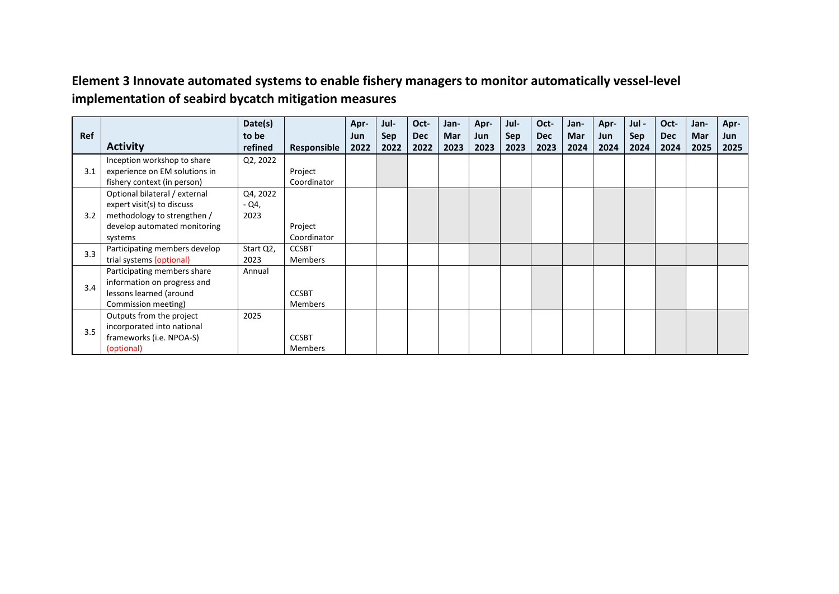### **Element 3 Innovate automated systems to enable fishery managers to monitor automatically vessel-level implementation of seabird bycatch mitigation measures**

|            |                               | Date(s)   |                | Apr- | Jul-       | Oct-       | Jan- | Apr- | Jul- | Oct-       | Jan- | Apr- | Jul -      | Oct-       | Jan- | Apr- |
|------------|-------------------------------|-----------|----------------|------|------------|------------|------|------|------|------------|------|------|------------|------------|------|------|
| <b>Ref</b> |                               | to be     |                | Jun  | <b>Sep</b> | <b>Dec</b> | Mar  | Jun  | Sep  | <b>Dec</b> | Mar  | Jun  | <b>Sep</b> | <b>Dec</b> | Mar  | Jun  |
|            | <b>Activity</b>               | refined   | Responsible    | 2022 | 2022       | 2022       | 2023 | 2023 | 2023 | 2023       | 2024 | 2024 | 2024       | 2024       | 2025 | 2025 |
|            | Inception workshop to share   | Q2, 2022  |                |      |            |            |      |      |      |            |      |      |            |            |      |      |
| 3.1        | experience on EM solutions in |           | Project        |      |            |            |      |      |      |            |      |      |            |            |      |      |
|            | fishery context (in person)   |           | Coordinator    |      |            |            |      |      |      |            |      |      |            |            |      |      |
|            | Optional bilateral / external | Q4, 2022  |                |      |            |            |      |      |      |            |      |      |            |            |      |      |
|            | expert visit(s) to discuss    | $-Q4$ ,   |                |      |            |            |      |      |      |            |      |      |            |            |      |      |
| 3.2        | methodology to strengthen /   | 2023      |                |      |            |            |      |      |      |            |      |      |            |            |      |      |
|            | develop automated monitoring  |           | Project        |      |            |            |      |      |      |            |      |      |            |            |      |      |
|            | systems                       |           | Coordinator    |      |            |            |      |      |      |            |      |      |            |            |      |      |
| 3.3        | Participating members develop | Start Q2, | <b>CCSBT</b>   |      |            |            |      |      |      |            |      |      |            |            |      |      |
|            | trial systems (optional)      | 2023      | <b>Members</b> |      |            |            |      |      |      |            |      |      |            |            |      |      |
|            | Participating members share   | Annual    |                |      |            |            |      |      |      |            |      |      |            |            |      |      |
| 3.4        | information on progress and   |           |                |      |            |            |      |      |      |            |      |      |            |            |      |      |
|            | lessons learned (around       |           | <b>CCSBT</b>   |      |            |            |      |      |      |            |      |      |            |            |      |      |
|            | Commission meeting)           |           | Members        |      |            |            |      |      |      |            |      |      |            |            |      |      |
|            | Outputs from the project      | 2025      |                |      |            |            |      |      |      |            |      |      |            |            |      |      |
| 3.5        | incorporated into national    |           |                |      |            |            |      |      |      |            |      |      |            |            |      |      |
|            | frameworks (i.e. NPOA-S)      |           | <b>CCSBT</b>   |      |            |            |      |      |      |            |      |      |            |            |      |      |
|            | (optional)                    |           | Members        |      |            |            |      |      |      |            |      |      |            |            |      |      |